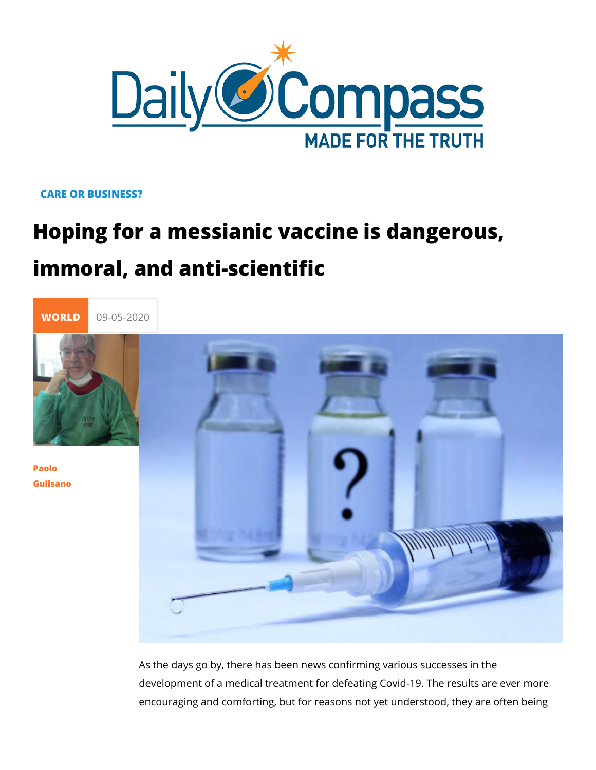## CARE OR BUSINESS?

Hoping for a messianic vaccine is dang immoral, and anti-scientific



[Paol](/en/paolo-gulisano)o [Gulisa](/en/paolo-gulisano)no

> As the days go by, there has been news confirming various sud development of a medical treatment for defeating Covid-19. Th encouraging and comforting, but for reasons not yet understoo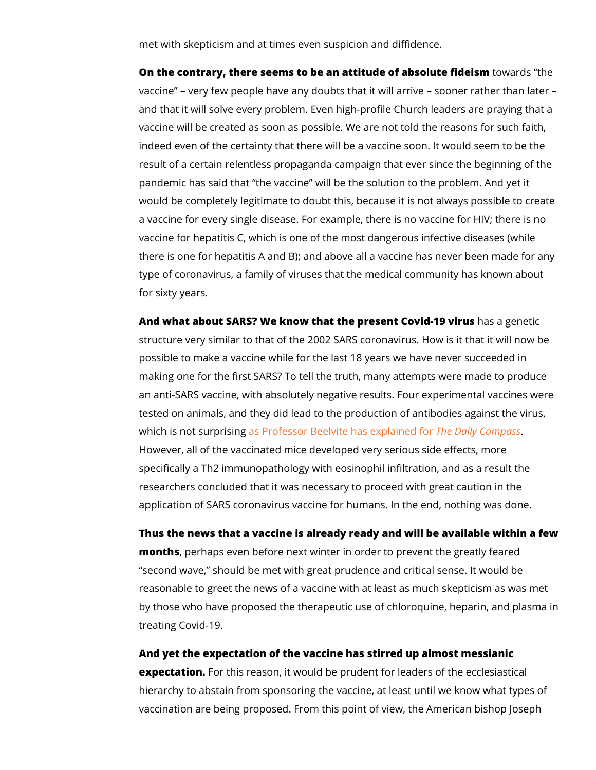met with skepticism and at times even suspicion and diffidence

On the contrary, there seems to be an attitude of oaw basing listed field of vaccine very few people have any doubts that it will arrive and that it will solve every problem. Even high-profile Church vaccine will be created as soon as possible. We are not told the indeed even of the certainty that there will be a vaccine soon. result of a certain relentless propaganda campaign that ever s pandemic has said that the vaccine will be the solution to th would be completely legitimate to doubt this, because it is not a vaccine for every single disease. For example, there is no v vaccine for hepatitis C, which is one of the most dangerous in there is one for hepatitis A and B); and above all a vaccine has type of coronavirus, a family of viruses that the medical comm for sixty years.

And what about  $SARS$ ? We know that the presemta  $\&$  on goth-nied inciru structure very similar to that of the 2002 SARS coronavirus. H possible to make a vaccine while for the last 18 years we have making one for the first SARS? To tell the truth, many attempt an anti-SARS vaccine, with absolutely negative results. Four e tested on animals, and they did lead to the production of antit which is not sumpsripsing for Beelvite has Tehxep Daanleyd Cform pass However, all of the vaccinated mice developed very serious sid specifically a Th2 immunopathology with eosinophil infiltration researchers concluded that it was necessary to proceed with g application of SARS coronavirus vaccine for humans. In the en

Thus the news that a vaccine is already ready and will be avai months perhaps even before next winter in order to prevent the second wave, should be met with great prudence and critical reasonable to greet the news of a vaccine with at least as muc by those who have proposed the therapeutic use of chloroquin, treating Covid-19.

And yet the expectation of the vaccine has stirred up almost m expectatioFro.r this reason, it would be prudent for leaders of th hierarchy to abstain from sponsoring the vaccine, at least unti vaccination are being proposed. From this point of view, the A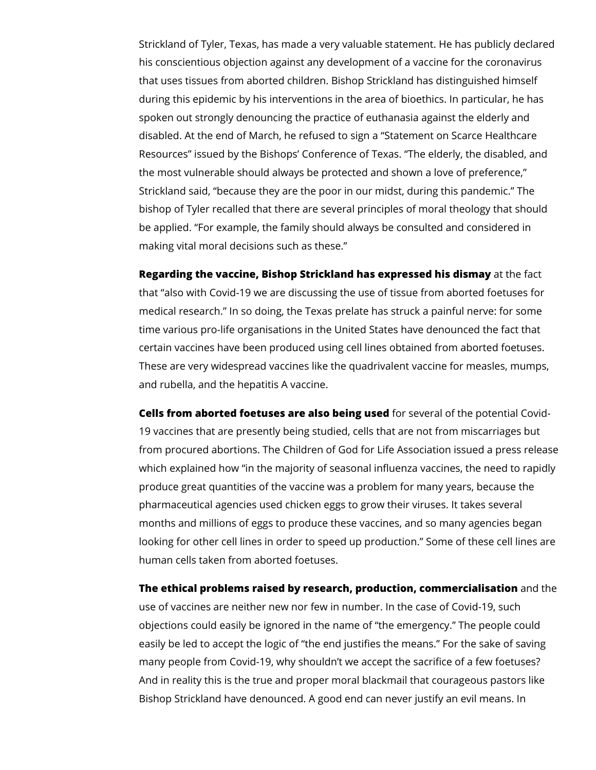Strickland of Tyler, Texas, has made a very valuable statement. He has publicly declared his conscientious objection against any development of a vaccine for the coronavirus that uses tissues from aborted children. Bishop Strickland has distinguished himself during this epidemic by his interventions in the area of bioethics. In particular, he has spoken out strongly denouncing the practice of euthanasia against the elderly and disabled. At the end of March, he refused to sign a "Statement on Scarce Healthcare Resources" issued by the Bishops' Conference of Texas. "The elderly, the disabled, and the most vulnerable should always be protected and shown a love of preference," Strickland said, "because they are the poor in our midst, during this pandemic." The bishop of Tyler recalled that there are several principles of moral theology that should be applied. "For example, the family should always be consulted and considered in making vital moral decisions such as these."

**Regarding the vaccine, Bishop Strickland has expressed his dismay** at the fact that "also with Covid-19 we are discussing the use of tissue from aborted foetuses for medical research." In so doing, the Texas prelate has struck a painful nerve: for some time various pro-life organisations in the United States have denounced the fact that certain vaccines have been produced using cell lines obtained from aborted foetuses. These are very widespread vaccines like the quadrivalent vaccine for measles, mumps, and rubella, and the hepatitis A vaccine.

**Cells from aborted foetuses are also being used** for several of the potential Covid-19 vaccines that are presently being studied, cells that are not from miscarriages but from procured abortions. The Children of God for Life Association issued a press release which explained how "in the majority of seasonal influenza vaccines, the need to rapidly produce great quantities of the vaccine was a problem for many years, because the pharmaceutical agencies used chicken eggs to grow their viruses. It takes several months and millions of eggs to produce these vaccines, and so many agencies began looking for other cell lines in order to speed up production." Some of these cell lines are human cells taken from aborted foetuses.

**The ethical problems raised by research, production, commercialisation** and the use of vaccines are neither new nor few in number. In the case of Covid-19, such objections could easily be ignored in the name of "the emergency." The people could easily be led to accept the logic of "the end justifies the means." For the sake of saving many people from Covid-19, why shouldn't we accept the sacrifice of a few foetuses? And in reality this is the true and proper moral blackmail that courageous pastors like Bishop Strickland have denounced. A good end can never justify an evil means. In